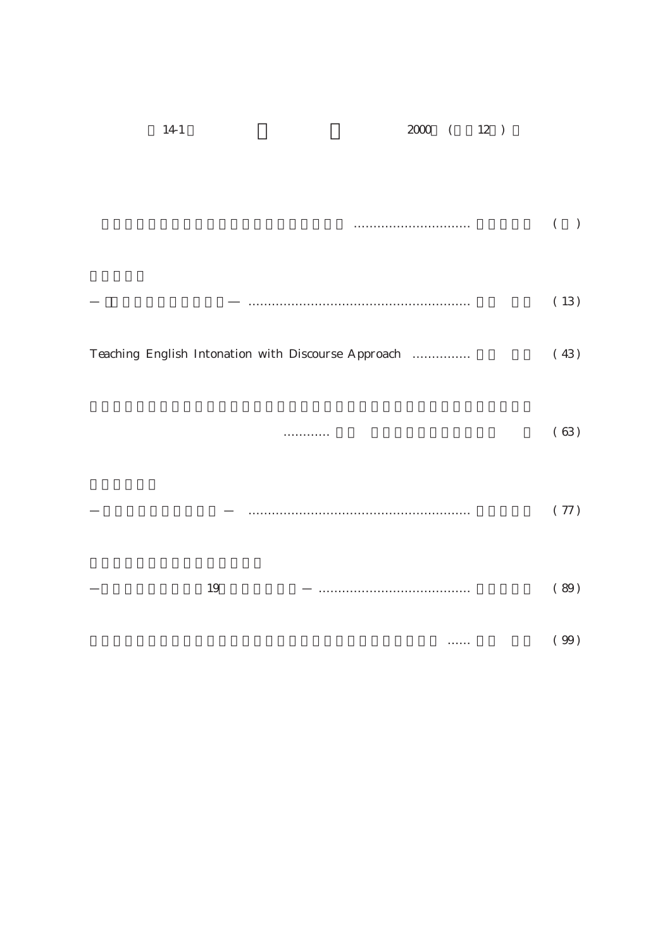| $14-1\,$ | $2000$ ( $12$ )                                     |              |
|----------|-----------------------------------------------------|--------------|
|          |                                                     |              |
|          |                                                     | $\big)$<br>( |
|          |                                                     | (13)         |
|          | Teaching English Intonation with Discourse Approach | (43)         |
|          |                                                     |              |
|          | .                                                   | (63)         |
|          |                                                     | $(\ 77)$     |
| 19       |                                                     | $(\ 89)$     |
|          | .                                                   | (99)         |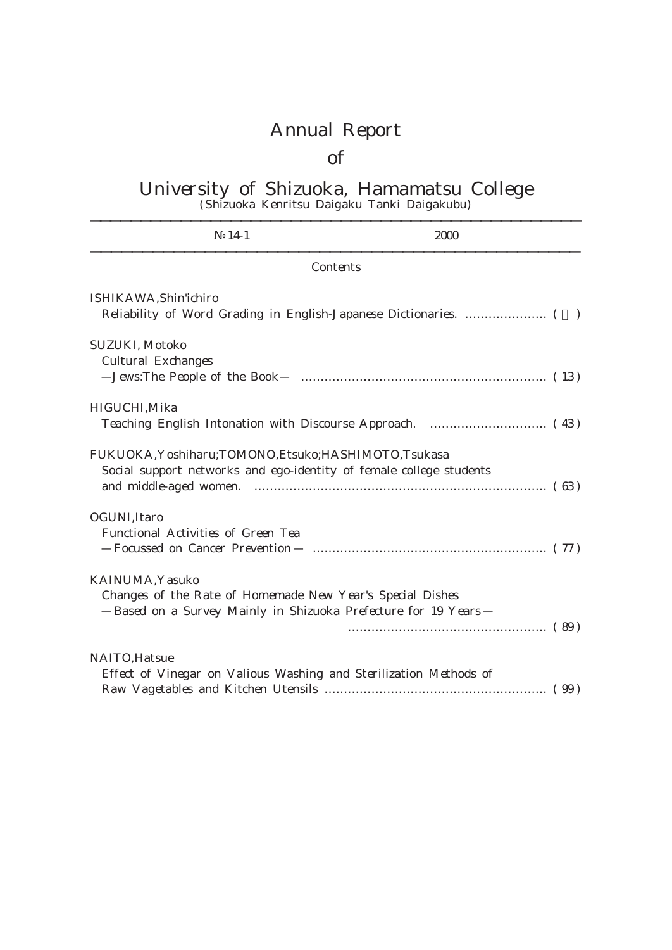# Annual Report

## of

#### University of Shizuoka, Hamamatsu College (Shizuoka Kenritsu Daigaku Tanki Daigakubu)

| $14-1$                                                                                                                                       | 2000     |
|----------------------------------------------------------------------------------------------------------------------------------------------|----------|
|                                                                                                                                              | Contents |
| ISHIKAWA, Shin'ichiro                                                                                                                        |          |
| SUZUKI, Motoko<br>Cultural Exchanges                                                                                                         |          |
| HIGUCHI, Mika                                                                                                                                |          |
| FUKUOKA, Yoshiharu; TOMONO, Etsuko; HASHIMOTO, Tsukasa<br>Social support networks and ego-identity of female college students                |          |
| OGUNI, Itaro<br>Functional Activities of Green Tea                                                                                           |          |
| KAINUMA, Yasuko<br>Changes of the Rate of Homemade New Year's Special Dishes<br>Based on a Survey Mainly in Shizuoka Prefecture for 19 Years |          |
| NAITO, Hatsue<br>Effect of Vinegar on Valious Washing and Sterilization Methods of                                                           |          |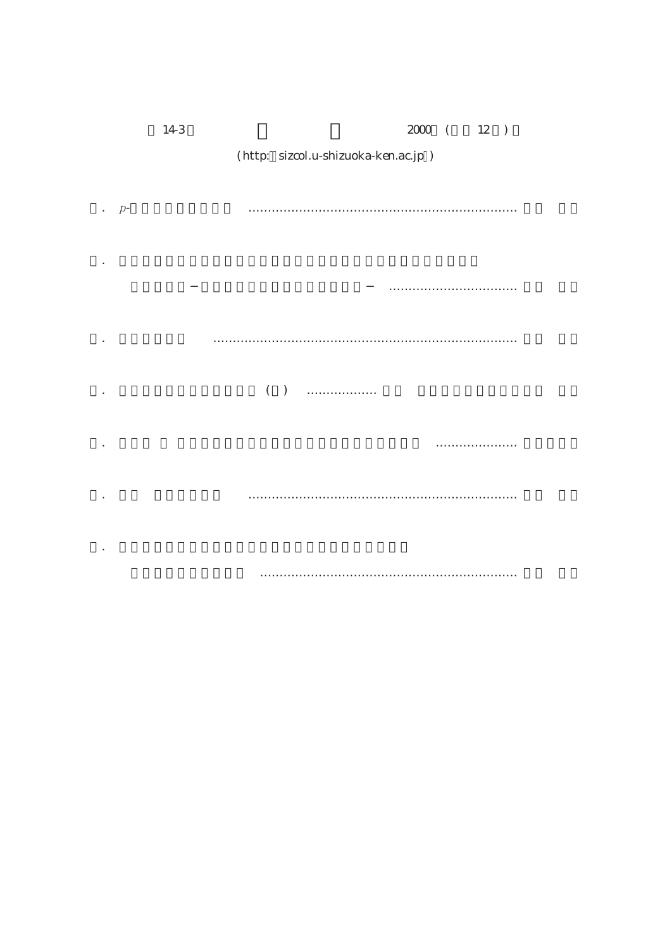| $14-3$ | $2000$ ( $12$ )                      |  |
|--------|--------------------------------------|--|
|        | (http: sizcol.u-shizuoka-ken.ac.jp ) |  |
|        |                                      |  |
| $p-$   |                                      |  |
|        |                                      |  |
|        |                                      |  |
|        |                                      |  |
|        |                                      |  |
|        |                                      |  |
|        | $($ $)$<br>.                         |  |
|        |                                      |  |
|        | . <b>.</b>                           |  |
|        |                                      |  |
|        |                                      |  |
|        |                                      |  |
|        |                                      |  |
|        |                                      |  |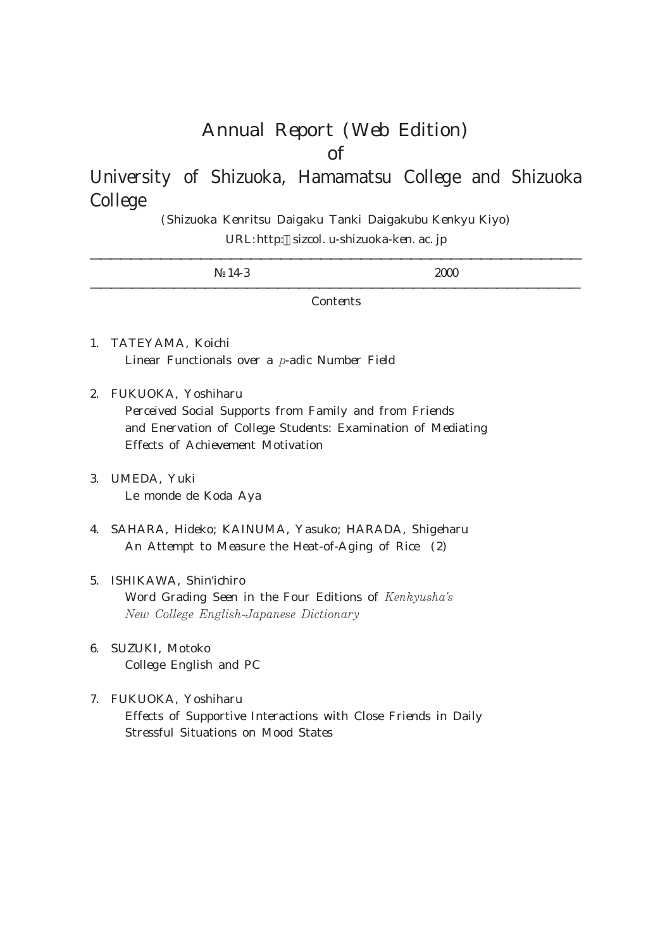### Annual Report (Web Edition) of

### University of Shizuoka, Hamamatsu College and Shizuoka College

(Shizuoka Kenritsu Daigaku Tanki Daigakubu Kenkyu Kiyo) URL:http: sizcol. u-shizuoka-ken. ac. jp

14-3 2000

**Contents** 

- 1. TATEYAMA, Koichi Linear Functionals over a  $p$ -adic Number Field
- 2. FUKUOKA, Yoshiharu Perceived Social Supports from Family and from Friends and Enervation of College Students: Examination of Mediating Effects of Achievement Motivation
- 3. UMEDA, Yuki Le monde de Koda Aya
- 4. SAHARA, Hideko; KAINUMA, Yasuko; HARADA, Shigeharu An Attempt to Measure the Heat-of-Aging of Rice (2)
- 5. ISHIKAWA, Shin'ichiro Word Grading Seen in the Four Editions of Kenkyusha's New College English-Japanese Dictionary
- 6. SUZUKI, Motoko College English and PC
- 7. FUKUOKA, Yoshiharu Effects of Supportive Interactions with Close Friends in Daily Stressful Situations on Mood States